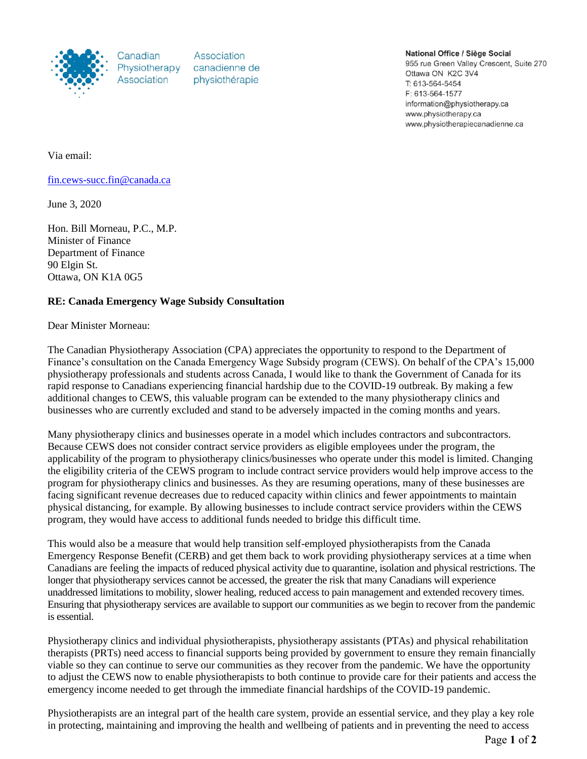

Canadian Physiotherapy Association

Association canadienne de physiothérapie

National Office / Siège Social

955 rue Green Valley Crescent, Suite 270 Ottawa ON K2C 3V4 T: 613-564-5454 F: 613-564-1577 information@physiotherapy.ca www.physiotherapy.ca www.physiotherapiecanadienne.ca

Via email:

[fin.cews-succ.fin@canada.ca](mailto:fin.cews-succ.fin@canada.ca)

June 3, 2020

Hon. Bill Morneau, P.C., M.P. Minister of Finance Department of Finance 90 Elgin St. Ottawa, ON K1A 0G5

## **RE: Canada Emergency Wage Subsidy Consultation**

Dear Minister Morneau:

The Canadian Physiotherapy Association (CPA) appreciates the opportunity to respond to the Department of Finance's consultation on the Canada Emergency Wage Subsidy program (CEWS). On behalf of the CPA's 15,000 physiotherapy professionals and students across Canada, I would like to thank the Government of Canada for its rapid response to Canadians experiencing financial hardship due to the COVID-19 outbreak. By making a few additional changes to CEWS, this valuable program can be extended to the many physiotherapy clinics and businesses who are currently excluded and stand to be adversely impacted in the coming months and years.

Many physiotherapy clinics and businesses operate in a model which includes contractors and subcontractors. Because CEWS does not consider contract service providers as eligible employees under the program, the applicability of the program to physiotherapy clinics/businesses who operate under this model is limited. Changing the eligibility criteria of the CEWS program to include contract service providers would help improve access to the program for physiotherapy clinics and businesses. As they are resuming operations, many of these businesses are facing significant revenue decreases due to reduced capacity within clinics and fewer appointments to maintain physical distancing, for example. By allowing businesses to include contract service providers within the CEWS program, they would have access to additional funds needed to bridge this difficult time.

This would also be a measure that would help transition self-employed physiotherapists from the Canada Emergency Response Benefit (CERB) and get them back to work providing physiotherapy services at a time when Canadians are feeling the impacts of reduced physical activity due to quarantine, isolation and physical restrictions. The longer that physiotherapy services cannot be accessed, the greater the risk that many Canadians will experience unaddressed limitations to mobility, slower healing, reduced access to pain management and extended recovery times. Ensuring that physiotherapy services are available to support our communities as we begin to recover from the pandemic is essential.

Physiotherapy clinics and individual physiotherapists, physiotherapy assistants (PTAs) and physical rehabilitation therapists (PRTs) need access to financial supports being provided by government to ensure they remain financially viable so they can continue to serve our communities as they recover from the pandemic. We have the opportunity to adjust the CEWS now to enable physiotherapists to both continue to provide care for their patients and access the emergency income needed to get through the immediate financial hardships of the COVID-19 pandemic.

Physiotherapists are an integral part of the health care system, provide an essential service, and they play a key role in protecting, maintaining and improving the health and wellbeing of patients and in preventing the need to access